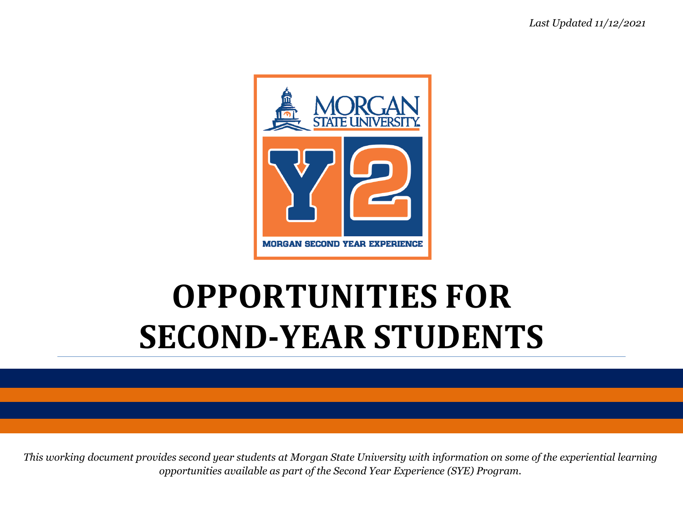

# **OPPORTUNITIES FOR SECOND-YEAR STUDENTS**

*This working document provides second year students at Morgan State University with information on some of the experiential learning opportunities available as part of the Second Year Experience (SYE) Program.*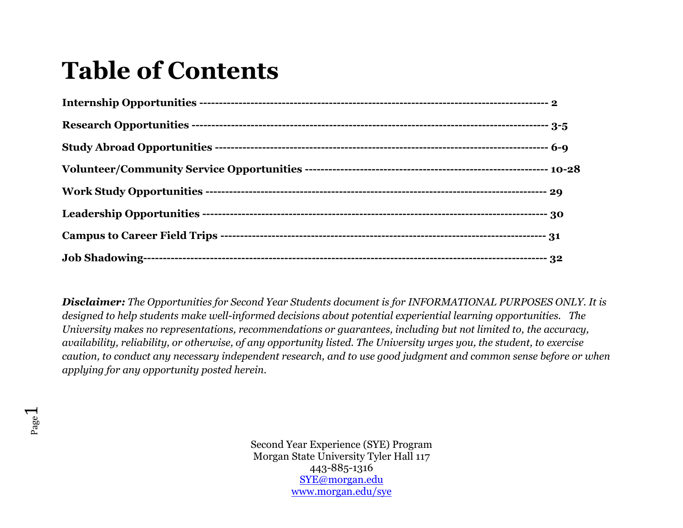## **Table of Contents**

*Disclaimer: The Opportunities for Second Year Students document is for INFORMATIONAL PURPOSES ONLY. It is designed to help students make well-informed decisions about potential experiential learning opportunities. The University makes no representations, recommendations or guarantees, including but not limited to, the accuracy, availability, reliability, or otherwise, of any opportunity listed. The University urges you, the student, to exercise caution, to conduct any necessary independent research, and to use good judgment and common sense before or when applying for any opportunity posted herein.*

Page  $\overline{\phantom{0}}$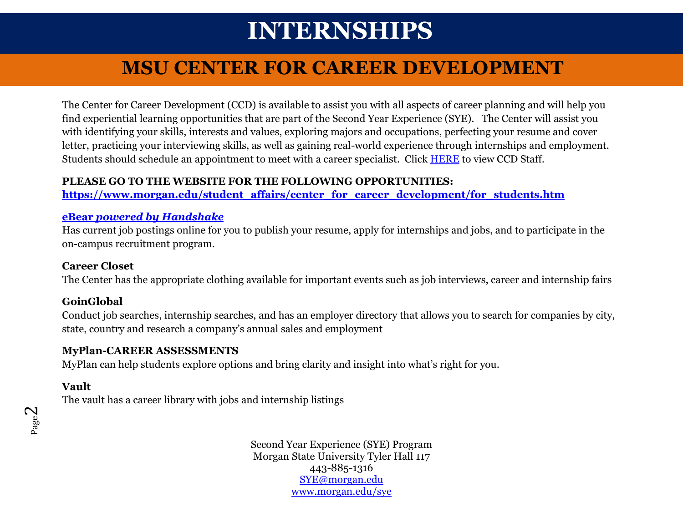## **INTERNSHIPS**

### **MSU CENTER FOR CAREER DEVELOPMENT**

The Center for Career Development (CCD) is available to assist you with all aspects of career planning and will help you find experiential learning opportunities that are part of the Second Year Experience (SYE). The Center will assist you with identifying your skills, interests and values, exploring majors and occupations, perfecting your resume and cover letter, practicing your interviewing skills, as well as gaining real-world experience through internships and employment. Students should schedule an appointment to meet with a career specialist. Click [HERE](https://www2.morgan.edu/student_affairs/center_for_career_development/staff.html) to view CCD Staff.

#### **PLEASE GO TO THE WEBSITE FOR THE FOLLOWING OPPORTUNITIES:**

**[https://www.morgan.edu/student\\_affairs/center\\_for\\_career\\_development/for\\_students.htm](https://www.morgan.edu/student_affairs/center_for_career_development/for_students.htm)**

#### **eBear** *[powered by Handshake](https://morgan.joinhandshake.com/)*

Has current job postings online for you to publish your resume, apply for internships and jobs, and to participate in the on-campus recruitment program.

#### **Career Closet**

The Center has the appropriate clothing available for important events such as job interviews, career and internship fairs

#### **GoinGlobal**

Conduct job searches, internship searches, and has an employer directory that allows you to search for companies by city, state, country and research a company's annual sales and employment

#### **MyPlan-CAREER ASSESSMENTS**

MyPlan can help students explore options and bring clarity and insight into what's right for you.

### **Vault**

The vault has a career library with jobs and internship listings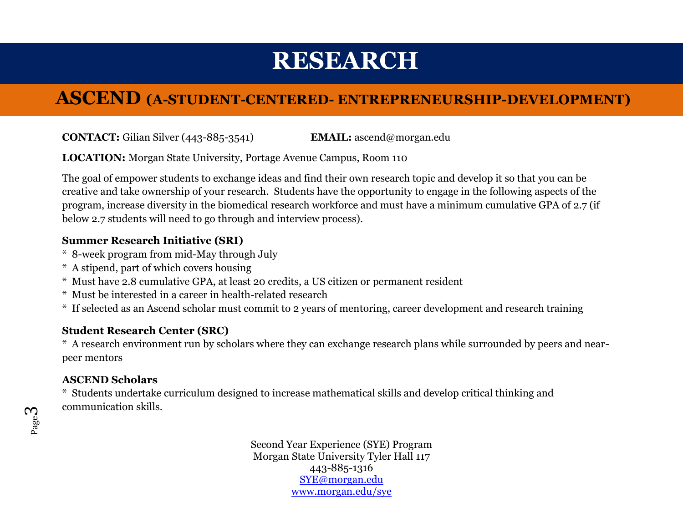## **RESEARCH**

### **ASCEND (A-STUDENT-CENTERED- ENTREPRENEURSHIP-DEVELOPMENT)**

**CONTACT:** Gilian Silver (443-885-3541) **EMAIL:** [ascend@morgan.edu](mailto:Ascend@morgan.edu)

**LOCATION:** Morgan State University, Portage Avenue Campus, Room 110

The goal of empower students to exchange ideas and find their own research topic and develop it so that you can be creative and take ownership of your research. Students have the opportunity to engage in the following aspects of the program, increase diversity in the biomedical research workforce and must have a minimum cumulative GPA of 2.7 (if below 2.7 students will need to go through and interview process).

### **Summer Research Initiative (SRI)**

- \* 8-week program from mid-May through July
- \* A stipend, part of which covers housing
- \* Must have 2.8 cumulative GPA, at least 20 credits, a US citizen or permanent resident
- \* Must be interested in a career in health-related research
- \* If selected as an Ascend scholar must commit to 2 years of mentoring, career development and research training

#### **Student Research Center (SRC)**

\* A research environment run by scholars where they can exchange research plans while surrounded by peers and nearpeer mentors

### **ASCEND Scholars**

\* Students undertake curriculum designed to increase mathematical skills and develop critical thinking and communication skills.

Page ო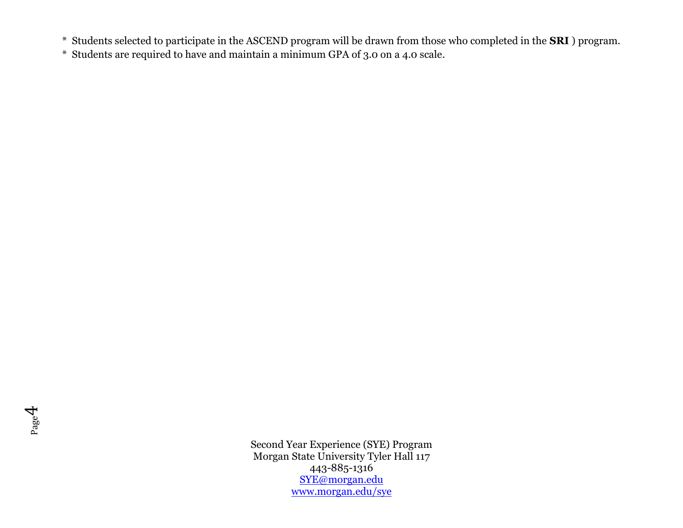\* Students selected to participate in the ASCEND program will be drawn from those who completed in the **SRI** ) program.

\* Students are required to have and maintain a minimum GPA of 3.0 on a 4.0 scale.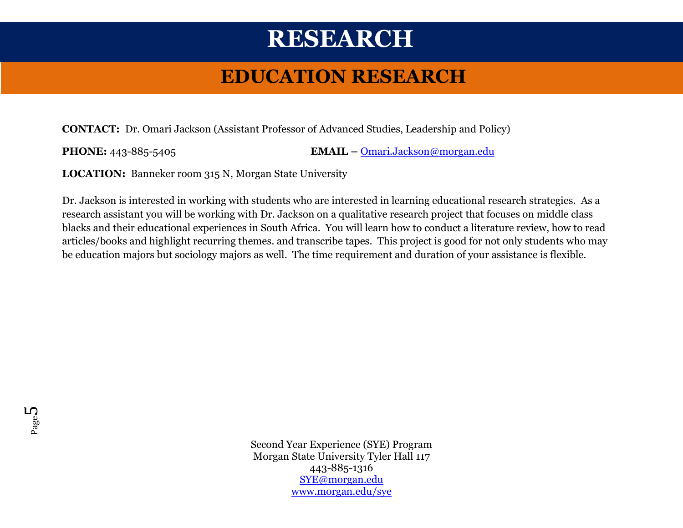## **RESEARCH**

### **EDUCATION RESEARCH**

**CONTACT:** Dr. Omari Jackson (Assistant Professor of Advanced Studies, Leadership and Policy)

**PHONE:** 443-885-5405 **EMAIL –** [Omari.Jackson@morgan.edu](mailto:Omari.Jackson@morgan.edu)

**LOCATION:** Banneker room 315 N, Morgan State University

Dr. Jackson is interested in working with students who are interested in learning educational research strategies. As a research assistant you will be working with Dr. Jackson on a qualitative research project that focuses on middle class blacks and their educational experiences in South Africa. You will learn how to conduct a literature review, how to read articles/books and highlight recurring themes. and transcribe tapes. This project is good for not only students who may be education majors but sociology majors as well. The time requirement and duration of your assistance is flexible.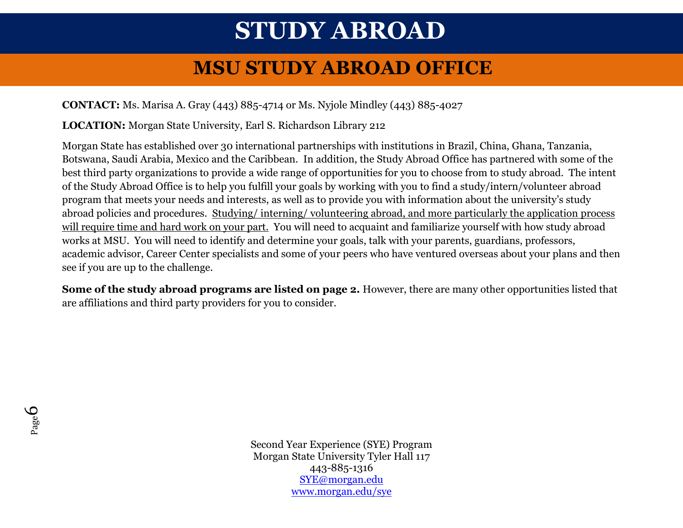## **STUDY ABROAD**

### **MSU STUDY ABROAD OFFICE**

**CONTACT:** Ms. Marisa A. Gray (443) 885-4714 or Ms. Nyjole Mindley (443) 885-4027

**LOCATION:** Morgan State University, Earl S. Richardson Library 212

Morgan State has established over 30 international partnerships with institutions in Brazil, China, Ghana, Tanzania, Botswana, Saudi Arabia, Mexico and the Caribbean. In addition, the Study Abroad Office has partnered with some of the best third party organizations to provide a wide range of opportunities for you to choose from to study abroad. The intent of the Study Abroad Office is to help you fulfill your goals by working with you to find a study/intern/volunteer abroad program that meets your needs and interests, as well as to provide you with information about the university's study abroad policies and procedures. Studying/ interning/ volunteering abroad, and more particularly the application process will require time and hard work on your part. You will need to acquaint and familiarize yourself with how study abroad works at MSU. You will need to identify and determine your goals, talk with your parents, guardians, professors, academic advisor, Career Center specialists and some of your peers who have ventured overseas about your plans and then see if you are up to the challenge.

**Some of the study abroad programs are listed on page 2.** However, there are many other opportunities listed that are affiliations and third party providers for you to consider.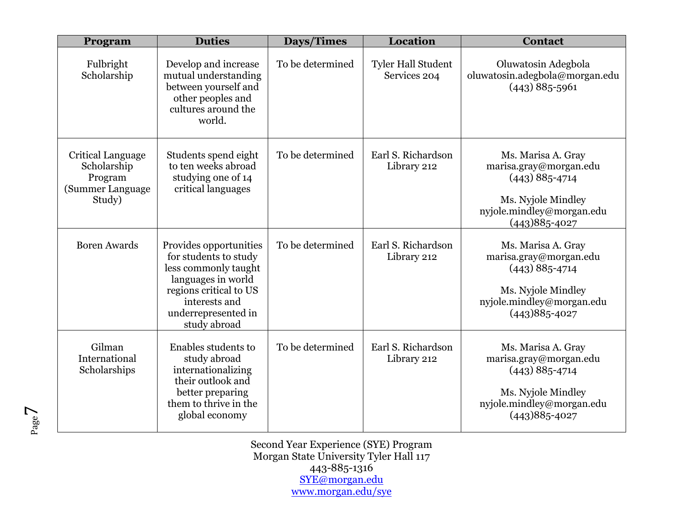| Program                                                                   | <b>Duties</b>                                                                                                                                                                   | Days/Times       | Location                                  | <b>Contact</b>                                                                                                                             |
|---------------------------------------------------------------------------|---------------------------------------------------------------------------------------------------------------------------------------------------------------------------------|------------------|-------------------------------------------|--------------------------------------------------------------------------------------------------------------------------------------------|
| Fulbright<br>Scholarship                                                  | Develop and increase<br>mutual understanding<br>between yourself and<br>other peoples and<br>cultures around the<br>world.                                                      | To be determined | <b>Tyler Hall Student</b><br>Services 204 | Oluwatosin Adegbola<br>oluwatosin.adegbola@morgan.edu<br>$(443)$ 885-5961                                                                  |
| Critical Language<br>Scholarship<br>Program<br>(Summer Language<br>Study) | Students spend eight<br>to ten weeks abroad<br>studying one of 14<br>critical languages                                                                                         | To be determined | Earl S. Richardson<br>Library 212         | Ms. Marisa A. Gray<br>marisa.gray@morgan.edu<br>$(443)$ 885-4714<br>Ms. Nyjole Mindley<br>nyjole.mindley@morgan.edu<br>$(443)885 - 4027$   |
| <b>Boren Awards</b>                                                       | Provides opportunities<br>for students to study<br>less commonly taught<br>languages in world<br>regions critical to US<br>interests and<br>underrepresented in<br>study abroad | To be determined | Earl S. Richardson<br>Library 212         | Ms. Marisa A. Gray<br>marisa.gray@morgan.edu<br>$(443)$ 885-4714<br>Ms. Nyjole Mindley<br>nyjole.mindley@morgan.edu<br>$(443)885 - 4027$   |
| Gilman<br>International<br>Scholarships                                   | Enables students to<br>study abroad<br>internationalizing<br>their outlook and<br>better preparing<br>them to thrive in the<br>global economy                                   | To be determined | Earl S. Richardson<br>Library 212         | Ms. Marisa A. Gray<br>marisa.gray@morgan.edu<br>$(443) 885 - 4714$<br>Ms. Nyjole Mindley<br>nyjole.mindley@morgan.edu<br>$(443)885 - 4027$ |

Second Year Experience (SYE) Program Morgan State University Tyler Hall 117 443-885-1316 [SYE@morgan.edu](mailto:SYE@morgan.edu) [www.morgan.edu/sye](http://www.morgan.edu/sye)

Page  $\overline{\phantom{0}}$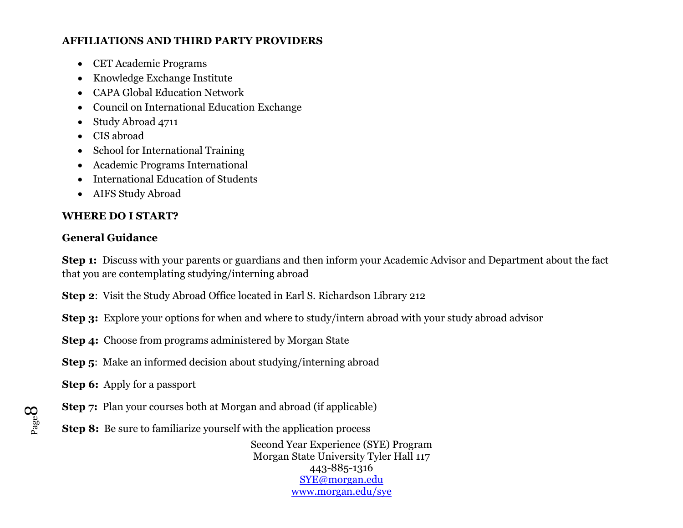#### **AFFILIATIONS AND THIRD PARTY PROVIDERS**

- CET Academic Programs
- Knowledge Exchange Institute
- CAPA Global Education Network
- Council on International Education Exchange
- Study Abroad 4711
- CIS abroad
- School for International Training
- Academic Programs International
- International Education of Students
- AIFS Study Abroad

#### **WHERE DO I START?**

#### **General Guidance**

**Step 1:** Discuss with your parents or guardians and then inform your Academic Advisor and Department about the fact that you are contemplating studying/interning abroad

**Step 2**: Visit the Study Abroad Office located in Earl S. Richardson Library 212

**Step 3:** Explore your options for when and where to study/intern abroad with your study abroad advisor

- **Step 4:** Choose from programs administered by Morgan State
- **Step 5:** Make an informed decision about studying/interning abroad
- **Step 6:** Apply for a passport
- **Step 7:** Plan your courses both at Morgan and abroad (if applicable)
- **Step 8:** Be sure to familiarize yourself with the application process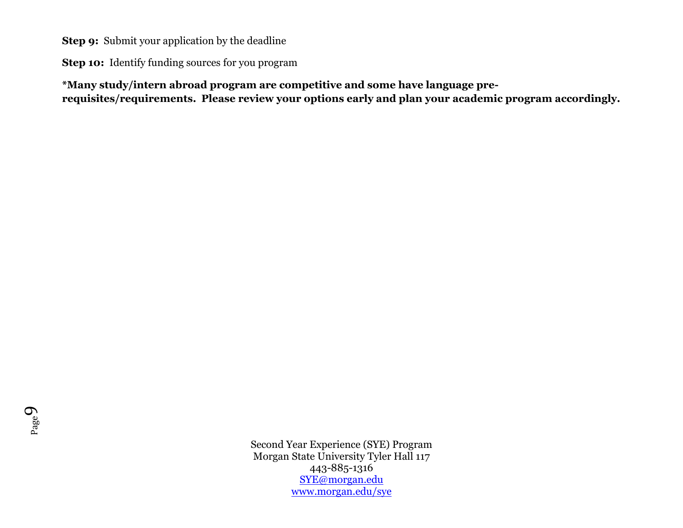**Step 9:** Submit your application by the deadline

**Step 10:** Identify funding sources for you program

**\*Many study/intern abroad program are competitive and some have language prerequisites/requirements. Please review your options early and plan your academic program accordingly.**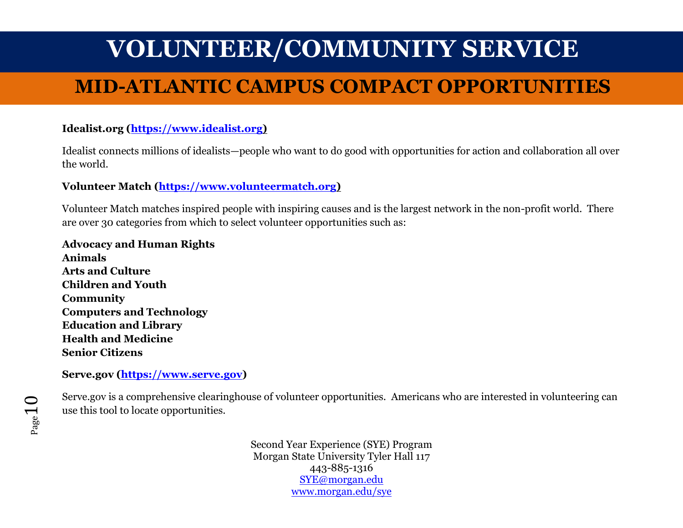### **MID-ATLANTIC CAMPUS COMPACT OPPORTUNITIES**

### $\bf{Idealist.org}$   $(\underline{\bf https://www.idealist.org})$

Idealist connects millions of idealists—people who want to do good with opportunities for action and collaboration all over the world.

### **Volunteer Match [\(https://www.volunteermatch.org\)](https://www.volunteermatch.org/)**

Volunteer Match matches inspired people with inspiring causes and is the largest network in the non-profit world. There are over 30 categories from which to select volunteer opportunities such as:

**Advocacy and Human Rights Animals Arts and Culture Children and Youth Community Computers and Technology Education and Library Health and Medicine Senior Citizens**

#### **Serve.gov [\(https://www.serve.gov\)](https://www.serve.gov/)**

Serve.gov is a comprehensive clearinghouse of volunteer opportunities. Americans who are interested in volunteering can use this tool to locate opportunities.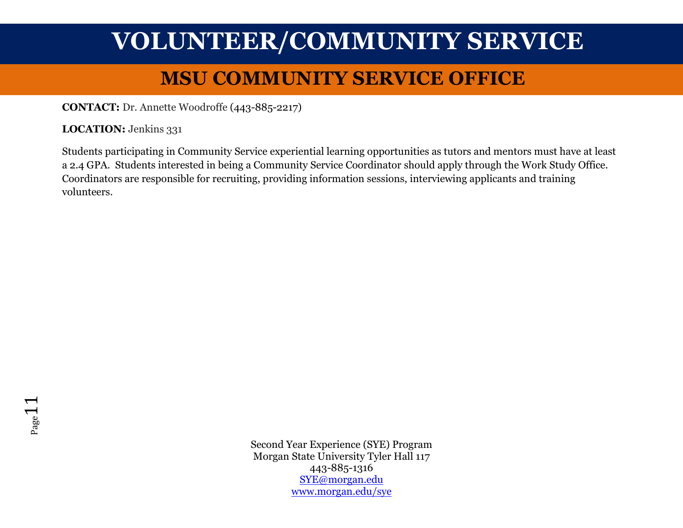### **MSU COMMUNITY SERVICE OFFICE**

**CONTACT:** Dr. Annette Woodroffe (443-885-2217)

LOCATION: Jenkins 331

Students participating in Community Service experiential learning opportunities as tutors and mentors must have at least a 2.4 GPA. Students interested in being a Community Service Coordinator should apply through the Work Study Office. Coordinators are responsible for recruiting, providing information sessions, interviewing applicants and training volunteers.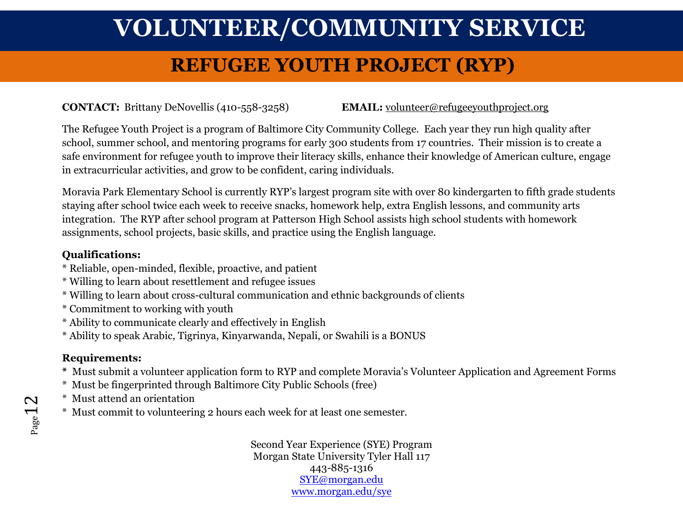### **REFUGEE YOUTH PROJECT (RYP)**

### **CONTACT:** Brittany DeNovellis (410-558-3258) **EMAIL:** [volunteer@refugeeyouthproject.org](mailto:volunteer@refugeeyouthproject.org)

The Refugee Youth Project is a program of Baltimore City Community College. Each year they run high quality after school, summer school, and mentoring programs for early 300 students from 17 countries. Their mission is to create a safe environment for refugee youth to improve their literacy skills, enhance their knowledge of American culture, engage in extracurricular activities, and grow to be confident, caring individuals.

Moravia Park Elementary School is currently RYP's largest program site with over 80 kindergarten to fifth grade students staying after school twice each week to receive snacks, homework help, extra English lessons, and community arts integration. The RYP after school program at Patterson High School assists high school students with homework assignments, school projects, basic skills, and practice using the English language.

### **Qualifications:**

- \* Reliable, open-minded, flexible, proactive, and patient
- \* Willing to learn about resettlement and refugee issues
- \* Willing to learn about cross-cultural communication and ethnic backgrounds of clients
- \* Commitment to working with youth
- \* Ability to communicate clearly and effectively in English
- \* Ability to speak Arabic, Tigrinya, Kinyarwanda, Nepali, or Swahili is a BONUS

### **Requirements:**

- **\*** Must submit a volunteer application form to RYP and complete Moravia's Volunteer Application and Agreement Forms
- \* Must be fingerprinted through Baltimore City Public Schools (free)
- \* Must attend an orientation
- \* Must commit to volunteering 2 hours each week for at least one semester.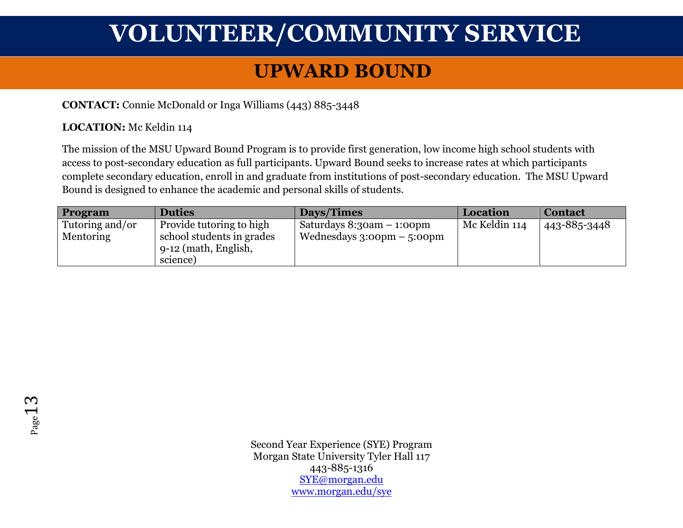### **UPWARD BOUND**

#### **CONTACT:** Connie McDonald or Inga Williams (443) 885-3448

#### **LOCATION:** Mc Keldin 114

The mission of the MSU Upward Bound Program is to provide first generation, low income high school students with access to post-secondary education as full participants. Upward Bound seeks to increase rates at which participants complete secondary education, enroll in and graduate from institutions of post-secondary education. The MSU Upward Bound is designed to enhance the academic and personal skills of students.

| Program          | <b>Duties</b>                      | Days/Times                                   | Location      | <b>Contact</b> |
|------------------|------------------------------------|----------------------------------------------|---------------|----------------|
| Tutoring and/or  | Provide tutoring to high           | Saturdays $8:3$ oam $-1:0$ opm               | Mc Keldin 114 | 443-885-3448   |
| <b>Mentoring</b> | school students in grades          | Wednesdays $3:00 \text{pm} - 5:00 \text{pm}$ |               |                |
|                  | $\frac{1}{2}$ 9-12 (math, English, |                                              |               |                |
|                  | science)                           |                                              |               |                |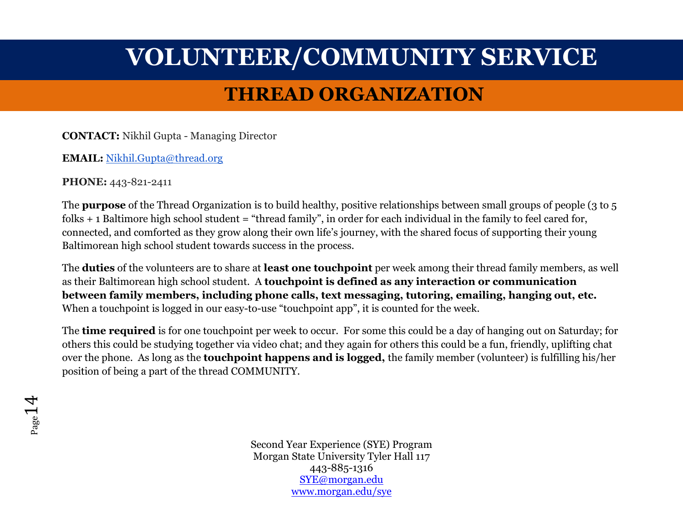### **THREAD ORGANIZATION**

**CONTACT:** Nikhil Gupta - Managing Director

**EMAIL:** [Nikhil.Gupta@thread.org](mailto:Nikhil.Gupta@thread.org)

**PHONE:** 443-821-2411

The **purpose** of the Thread Organization is to build healthy, positive relationships between small groups of people (3 to 5 folks  $+$  1 Baltimore high school student = "thread family", in order for each individual in the family to feel cared for, connected, and comforted as they grow along their own life's journey, with the shared focus of supporting their young Baltimorean high school student towards success in the process.

The **duties** of the volunteers are to share at **least one touchpoint** per week among their thread family members, as well as their Baltimorean high school student. A **touchpoint is defined as any interaction or communication between family members, including phone calls, text messaging, tutoring, emailing, hanging out, etc.** When a touchpoint is logged in our easy-to-use "touchpoint app", it is counted for the week.

The **time required** is for one touchpoint per week to occur. For some this could be a day of hanging out on Saturday; for others this could be studying together via video chat; and they again for others this could be a fun, friendly, uplifting chat over the phone. As long as the **touchpoint happens and is logged,** the family member (volunteer) is fulfilling his/her position of being a part of the thread COMMUNITY.

 $P_{\text{age}}14$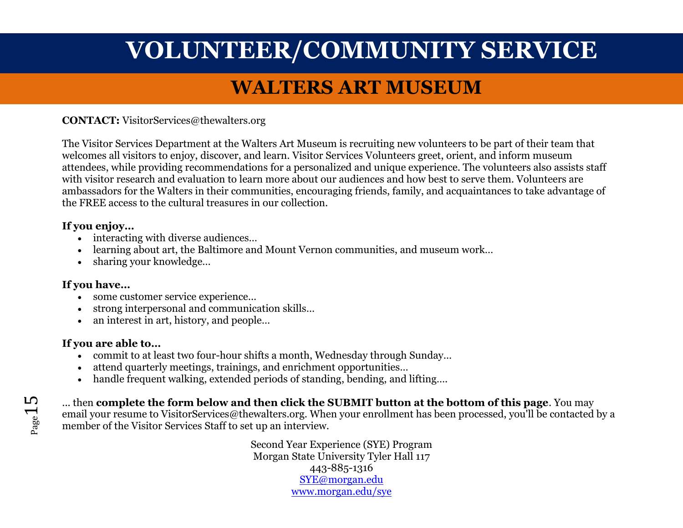### **WALTERS ART MUSEUM**

**CONTACT:** VisitorServices@thewalters.org

The Visitor Services Department at the Walters Art Museum is recruiting new volunteers to be part of their team that welcomes all visitors to enjoy, discover, and learn. Visitor Services Volunteers greet, orient, and inform museum attendees, while providing recommendations for a personalized and unique experience. The volunteers also assists staff with visitor research and evaluation to learn more about our audiences and how best to serve them. Volunteers are ambassadors for the Walters in their communities, encouraging friends, family, and acquaintances to take advantage of the FREE access to the cultural treasures in our collection.

#### **If you enjoy…**

- interacting with diverse audiences...
- learning about art, the Baltimore and Mount Vernon communities, and museum work…
- sharing your knowledge...

#### **If you have…**

- some customer service experience...
- strong interpersonal and communication skills…
- an interest in art, history, and people...

#### **If you are able to…**

- commit to at least two four-hour shifts a month, Wednesday through Sunday…
- attend quarterly meetings, trainings, and enrichment opportunities…
- handle frequent walking, extended periods of standing, bending, and lifting….

... then **complete the form below and then click the SUBMIT button at the bottom of this page**. You may email your resume to VisitorServices@thewalters.org. When your enrollment has been processed, you'll be contacted by a member of the Visitor Services Staff to set up an interview.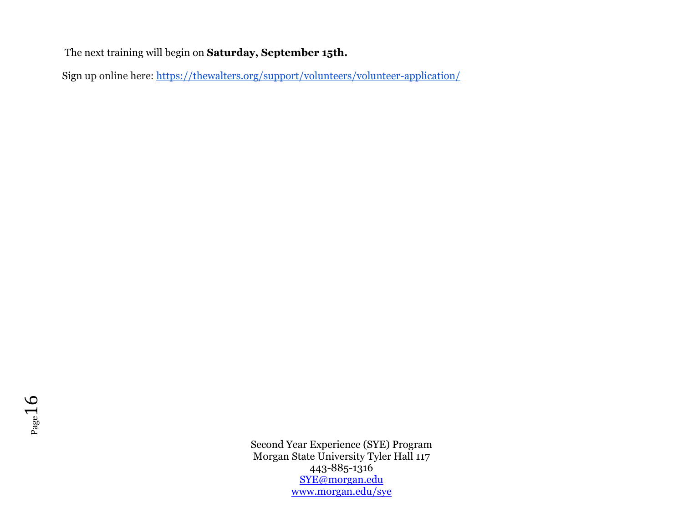The next training will begin on **Saturday, September 15th.**

Sign up online here: [https://thewalters.org/support/volunteers/volunteer-application/](https://urldefense.proofpoint.com/v2/url?u=https-3A__thewalters.org_support_volunteers_volunteer-2Dapplication_&d=DwMFAg&c=0CCt47_3RbNABITTvFzZbA&r=Kh6oQc7ktwI51VoCQq5UdfDp4n92QKZIDvkWYcK-CaE&m=FXEd6CE-LLLaUbdlzawc9y66HGsYZcvYogEyZDQ9c9Y&s=UPZJ2BJ9WWS3U-EV2-FQeNawEG--EMySucWWrmyiUGg&e=)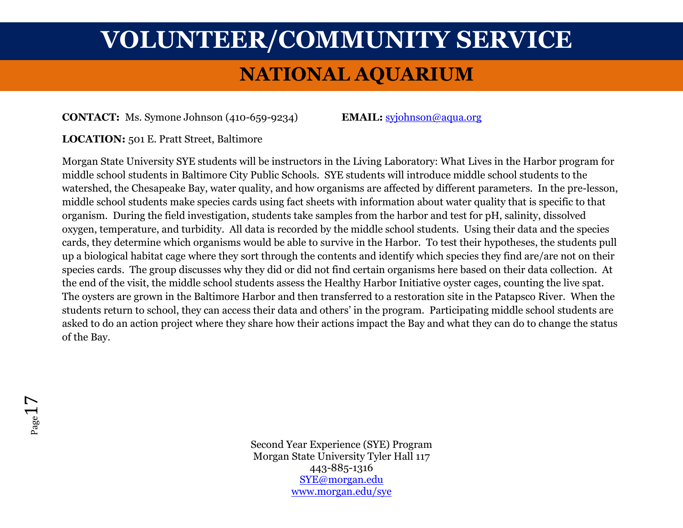### **NATIONAL AQUARIUM**

**CONTACT:** Ms. Symone Johnson (410-659-9234) **EMAIL:** [syjohnson@aqua.org](mailto:syjohnson@aqua.org)

**LOCATION:** 501 E. Pratt Street, Baltimore

Morgan State University SYE students will be instructors in the Living Laboratory: What Lives in the Harbor program for middle school students in Baltimore City Public Schools. SYE students will introduce middle school students to the watershed, the Chesapeake Bay, water quality, and how organisms are affected by different parameters. In the pre-lesson, middle school students make species cards using fact sheets with information about water quality that is specific to that organism. During the field investigation, students take samples from the harbor and test for pH, salinity, dissolved oxygen, temperature, and turbidity. All data is recorded by the middle school students. Using their data and the species cards, they determine which organisms would be able to survive in the Harbor. To test their hypotheses, the students pull up a biological habitat cage where they sort through the contents and identify which species they find are/are not on their species cards. The group discusses why they did or did not find certain organisms here based on their data collection. At the end of the visit, the middle school students assess the Healthy Harbor Initiative oyster cages, counting the live spat. The oysters are grown in the Baltimore Harbor and then transferred to a restoration site in the Patapsco River. When the students return to school, they can access their data and others' in the program. Participating middle school students are asked to do an action project where they share how their actions impact the Bay and what they can do to change the status of the Bay.

 $_{\rm Page}1$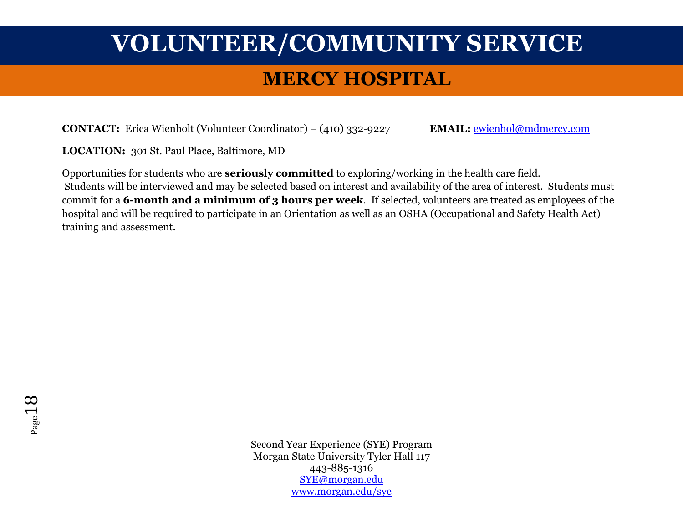### **MERCY HOSPITAL**

**CONTACT:** Erica Wienholt (Volunteer Coordinator) – (410) 332-9227 **EMAIL:** [ewienhol@mdmercy.com](mailto:ewienhol@mdmercy.com)

**LOCATION:** 301 St. Paul Place, Baltimore, MD

Opportunities for students who are **seriously committed** to exploring/working in the health care field. Students will be interviewed and may be selected based on interest and availability of the area of interest. Students must commit for a **6-month and a minimum of 3 hours per week**. If selected, volunteers are treated as employees of the hospital and will be required to participate in an Orientation as well as an OSHA (Occupational and Safety Health Act) training and assessment.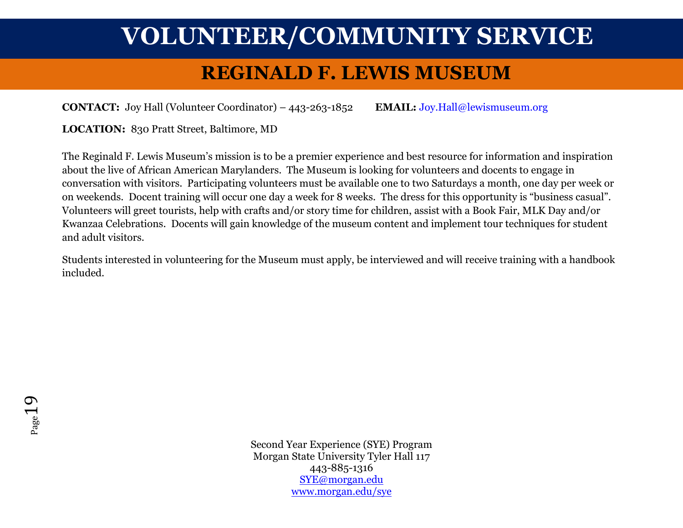### **REGINALD F. LEWIS MUSEUM**

**CONTACT:** Joy Hall (Volunteer Coordinator) – 443-263-1852 **EMAIL:** [Joy.Hall@lewismuseum.org](mailto:Joy.Hall@lewismuseum.org)

**LOCATION:** 830 Pratt Street, Baltimore, MD

The Reginald F. Lewis Museum's mission is to be a premier experience and best resource for information and inspiration about the live of African American Marylanders. The Museum is looking for volunteers and docents to engage in conversation with visitors. Participating volunteers must be available one to two Saturdays a month, one day per week or on weekends. Docent training will occur one day a week for 8 weeks. The dress for this opportunity is "business casual". Volunteers will greet tourists, help with crafts and/or story time for children, assist with a Book Fair, MLK Day and/or Kwanzaa Celebrations. Docents will gain knowledge of the museum content and implement tour techniques for student and adult visitors.

Students interested in volunteering for the Museum must apply, be interviewed and will receive training with a handbook included.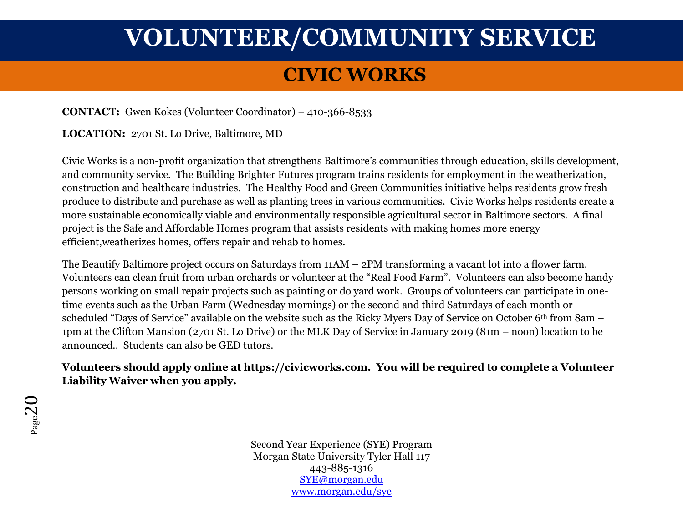### **CIVIC WORKS**

**CONTACT:** Gwen Kokes (Volunteer Coordinator) – 410-366-8533

**LOCATION:** 2701 St. Lo Drive, Baltimore, MD

Civic Works is a non-profit organization that strengthens Baltimore's communities through education, skills development, and community service. The Building Brighter Futures program trains residents for employment in the weatherization, construction and healthcare industries. The Healthy Food and Green Communities initiative helps residents grow fresh produce to distribute and purchase as well as planting trees in various communities. Civic Works helps residents create a more sustainable economically viable and environmentally responsible agricultural sector in Baltimore sectors. A final project is the Safe and Affordable Homes program that assists residents with making homes more energy efficient,weatherizes homes, offers repair and rehab to homes.

The Beautify Baltimore project occurs on Saturdays from 11AM – 2PM transforming a vacant lot into a flower farm. Volunteers can clean fruit from urban orchards or volunteer at the "Real Food Farm". Volunteers can also become handy persons working on small repair projects such as painting or do yard work. Groups of volunteers can participate in onetime events such as the Urban Farm (Wednesday mornings) or the second and third Saturdays of each month or scheduled "Days of Service" available on the website such as the Ricky Myers Day of Service on October 6th from 8am – 1pm at the Clifton Mansion (2701 St. Lo Drive) or the MLK Day of Service in January 2019 (81m – noon) location to be announced.. Students can also be GED tutors.

### **Volunteers should apply online at [https://civicworks.com.](https://civicworks.com/) You will be required to complete a Volunteer Liability Waiver when you apply.**

Page20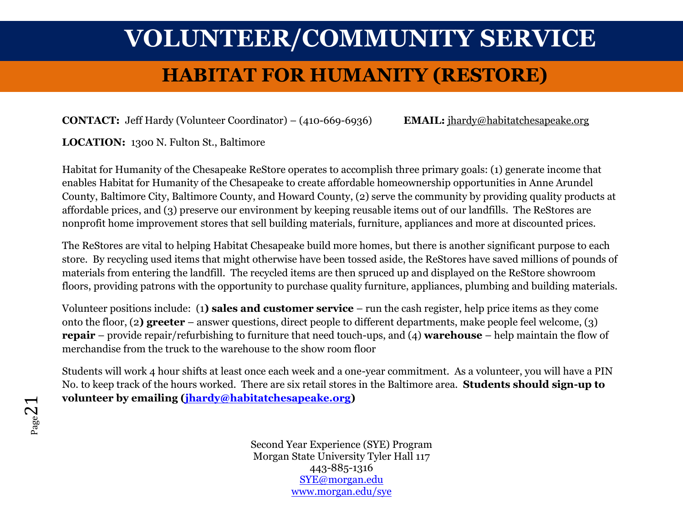### **HABITAT FOR HUMANITY (RESTORE)**

**CONTACT:** Jeff Hardy (Volunteer Coordinator) – (410-669-6936) **EMAIL:** [jhardy@habitatchesapeake.org](mailto:jhardy@habitatchesapeake.org)

**LOCATION:** 1300 N. Fulton St., Baltimore

Habitat for Humanity of the Chesapeake ReStore operates to accomplish three primary goals: (1) generate income that enables Habitat for Humanity of the Chesapeake to create affordable homeownership opportunities in Anne Arundel County, Baltimore City, Baltimore County, and Howard County, (2) serve the community by providing quality products at affordable prices, and (3) preserve our environment by keeping reusable items out of our landfills. The ReStores are nonprofit home improvement stores that sell building materials, furniture, appliances and more at discounted prices.

The ReStores are vital to helping Habitat Chesapeake build more homes, but there is another significant purpose to each store. By recycling used items that might otherwise have been tossed aside, the ReStores have saved millions of pounds of materials from entering the landfill. The recycled items are then spruced up and displayed on the ReStore showroom floors, providing patrons with the opportunity to purchase quality furniture, appliances, plumbing and building materials.

Volunteer positions include: (1**) sales and customer service** – run the cash register, help price items as they come onto the floor, (2**) greeter** – answer questions, direct people to different departments, make people feel welcome, (3) **repair** – provide repair/refurbishing to furniture that need touch-ups, and (4) **warehouse** – help maintain the flow of merchandise from the truck to the warehouse to the show room floor

Students will work 4 hour shifts at least once each week and a one-year commitment. As a volunteer, you will have a PIN No. to keep track of the hours worked. There are six retail stores in the Baltimore area. **Students should sign-up to volunteer by emailing [\(jhardy@habitatchesapeake.org\)](mailto:jhardy@habitatchesapeake.org)**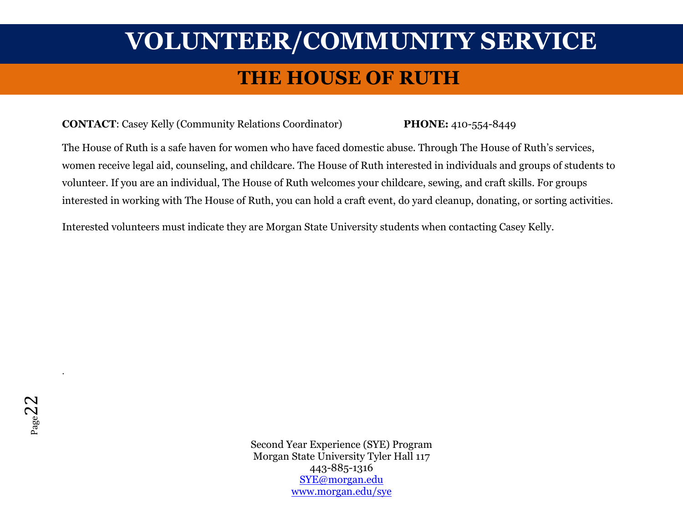### **THE HOUSE OF RUTH**

#### **CONTACT**: Casey Kelly (Community Relations Coordinator) **PHONE:** 410-554-8449

The House of Ruth is a safe haven for women who have faced domestic abuse. Through The House of Ruth's services, women receive legal aid, counseling, and childcare. The House of Ruth interested in individuals and groups of students to volunteer. If you are an individual, The House of Ruth welcomes your childcare, sewing, and craft skills. For groups interested in working with The House of Ruth, you can hold a craft event, do yard cleanup, donating, or sorting activities.

Interested volunteers must indicate they are Morgan State University students when contacting Casey Kelly.

Second Year Experience (SYE) Program Morgan State University Tyler Hall 117 443-885-1316 [SYE@morgan.edu](mailto:SYE@morgan.edu) [www.morgan.edu/sye](http://www.morgan.edu/sye)

.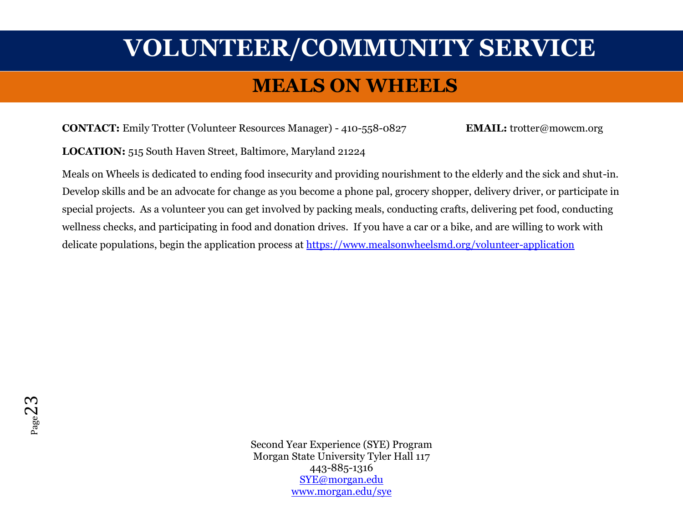### **MEALS ON WHEELS**

**CONTACT:** Emily Trotter (Volunteer Resources Manager) - 410-558-0827 **EMAIL:** trotter@mowcm.org

**LOCATION:** 515 South Haven Street, Baltimore, Maryland 21224

Meals on Wheels is dedicated to ending food insecurity and providing nourishment to the elderly and the sick and shut-in. Develop skills and be an advocate for change as you become a phone pal, grocery shopper, delivery driver, or participate in special projects. As a volunteer you can get involved by packing meals, conducting crafts, delivering pet food, conducting wellness checks, and participating in food and donation drives. If you have a car or a bike, and are willing to work with delicate populations, begin the application process at<https://www.mealsonwheelsmd.org/volunteer-application>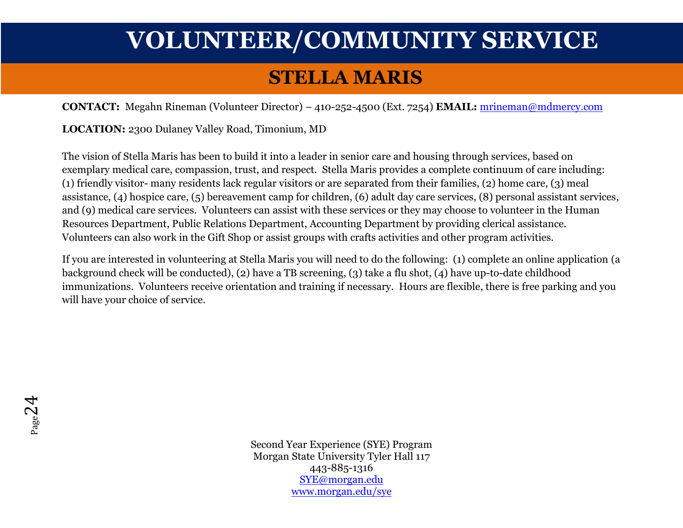### **STELLA MARIS**

**CONTACT:** Megahn Rineman (Volunteer Director) – 410-252-4500 (Ext. 7254) **EMAIL:** [mrineman@mdmercy.com](mailto:mrineman@mdmercy.com)

**LOCATION:** 2300 Dulaney Valley Road, Timonium, MD

The vision of Stella Maris has been to build it into a leader in senior care and housing through services, based on exemplary medical care, compassion, trust, and respect. Stella Maris provides a complete continuum of care including: (1) friendly visitor- many residents lack regular visitors or are separated from their families, (2) home care, (3) meal assistance, (4) hospice care, (5) bereavement camp for children, (6) adult day care services, (8) personal assistant services, and (9) medical care services. Volunteers can assist with these services or they may choose to volunteer in the Human Resources Department, Public Relations Department, Accounting Department by providing clerical assistance. Volunteers can also work in the Gift Shop or assist groups with crafts activities and other program activities.

If you are interested in volunteering at Stella Maris you will need to do the following: (1) complete an online application (a background check will be conducted), (2) have a TB screening, (3) take a flu shot, (4) have up-to-date childhood immunizations. Volunteers receive orientation and training if necessary. Hours are flexible, there is free parking and you will have your choice of service.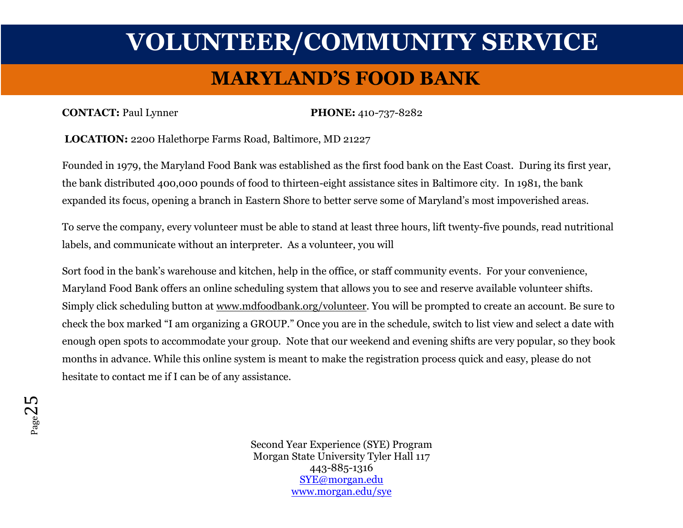### **MARYLAND'S FOOD BANK**

#### **CONTACT:** Paul Lynner **PHONE:** 410-737-8282

**LOCATION:** 2200 Halethorpe Farms Road, Baltimore, MD 21227

Founded in 1979, the Maryland Food Bank was established as the first food bank on the East Coast. During its first year, the bank distributed 400,000 pounds of food to thirteen-eight assistance sites in Baltimore city. In 1981, the bank expanded its focus, opening a branch in Eastern Shore to better serve some of Maryland's most impoverished areas.

To serve the company, every volunteer must be able to stand at least three hours, lift twenty-five pounds, read nutritional labels, and communicate without an interpreter. As a volunteer, you will

Sort food in the bank's warehouse and kitchen, help in the office, or staff community events. For your convenience, Maryland Food Bank offers an online scheduling system that allows you to see and reserve available volunteer shifts. Simply click scheduling button at [www.mdfoodbank.org/volunteer.](https://urldefense.proofpoint.com/v2/url?u=http-3A__www.mdfoodbank.org_volunteer&d=DwMFAg&c=0CCt47_3RbNABITTvFzZbA&r=Kh6oQc7ktwI51VoCQq5UdfDp4n92QKZIDvkWYcK-CaE&m=v_3k52y1Bht_JGFReZHlIPPTEovesLVwsDpvW_v_4fk&s=4Cx9mvEvk7df3fNy5SfRWZf0dZhy9FBNmqNFeA4lknU&e=) You will be prompted to create an account. Be sure to check the box marked "I am organizing a GROUP." Once you are in the schedule, switch to list view and select a date with enough open spots to accommodate your group. Note that our weekend and evening shifts are very popular, so they book months in advance. While this online system is meant to make the registration process quick and easy, please do not hesitate to contact me if I can be of any assistance.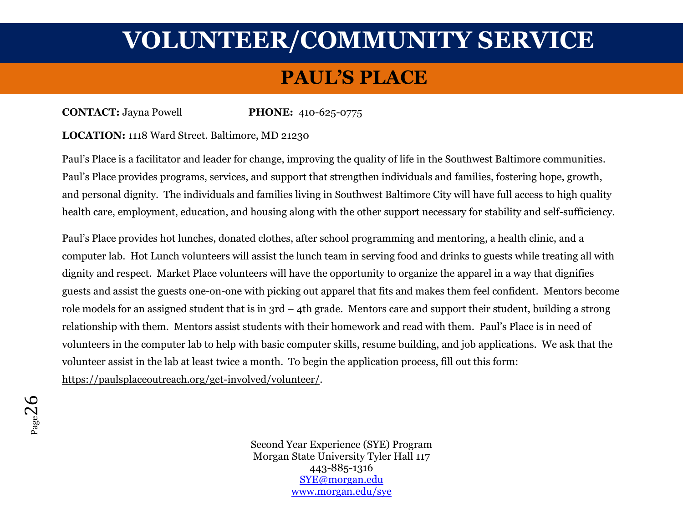### **PAUL'S PLACE**

**CONTACT:** Jayna Powell **PHONE:** 410-625-0775

#### **LOCATION:** 1118 Ward Street. Baltimore, MD 21230

Paul's Place is a facilitator and leader for change, improving the quality of life in the Southwest Baltimore communities. Paul's Place provides programs, services, and support that strengthen individuals and families, fostering hope, growth, and personal dignity. The individuals and families living in Southwest Baltimore City will have full access to high quality health care, employment, education, and housing along with the other support necessary for stability and self-sufficiency.

Paul's Place provides hot lunches, donated clothes, after school programming and mentoring, a health clinic, and a computer lab. Hot Lunch volunteers will assist the lunch team in serving food and drinks to guests while treating all with dignity and respect. Market Place volunteers will have the opportunity to organize the apparel in a way that dignifies guests and assist the guests one-on-one with picking out apparel that fits and makes them feel confident. Mentors become role models for an assigned student that is in 3rd – 4th grade. Mentors care and support their student, building a strong relationship with them. Mentors assist students with their homework and read with them. Paul's Place is in need of volunteers in the computer lab to help with basic computer skills, resume building, and job applications. We ask that the volunteer assist in the lab at least twice a month. To begin the application process, fill out this form: [https://paulsplaceoutreach.org/get-involved/volunteer/.](https://paulsplaceoutreach.org/get-involved/volunteer/)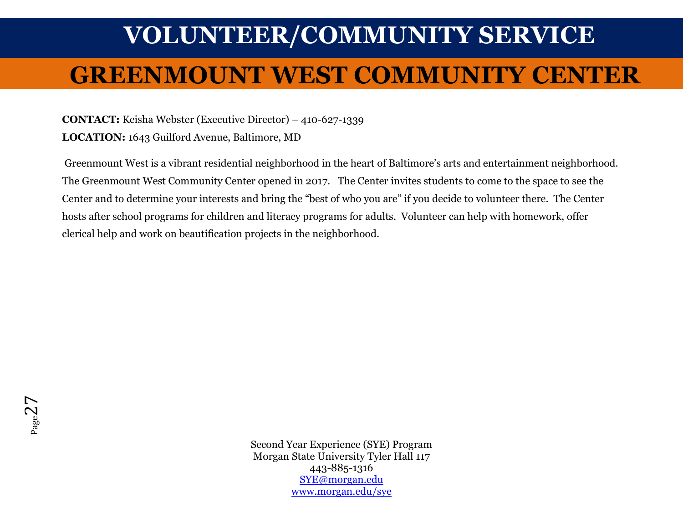# **VOLUNTEER/COMMUNITY SERVICE GREENMOUNT WEST COMMUNITY CENTER**

**CONTACT:** Keisha Webster (Executive Director) – 410-627-1339

**LOCATION:** 1643 Guilford Avenue, Baltimore, MD

Greenmount West is a vibrant residential neighborhood in the heart of Baltimore's arts and entertainment neighborhood. The Greenmount West Community Center opened in 2017. The Center invites students to come to the space to see the Center and to determine your interests and bring the "best of who you are" if you decide to volunteer there. The Center hosts after school programs for children and literacy programs for adults. Volunteer can help with homework, offer clerical help and work on beautification projects in the neighborhood.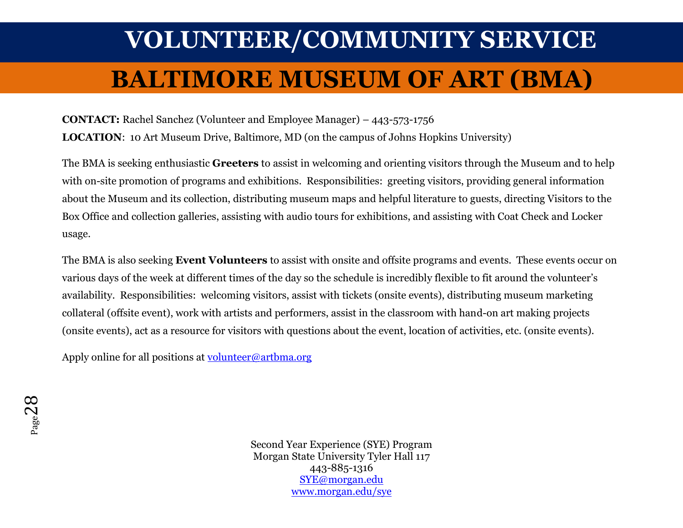# **VOLUNTEER/COMMUNITY SERVICE BALTIMORE MUSEUM OF ART (BMA)**

**CONTACT:** Rachel Sanchez (Volunteer and Employee Manager) – 443-573-1756

**LOCATION**: 10 Art Museum Drive, Baltimore, MD (on the campus of Johns Hopkins University)

The BMA is seeking enthusiastic **Greeters** to assist in welcoming and orienting visitors through the Museum and to help with on-site promotion of programs and exhibitions. Responsibilities: greeting visitors, providing general information about the Museum and its collection, distributing museum maps and helpful literature to guests, directing Visitors to the Box Office and collection galleries, assisting with audio tours for exhibitions, and assisting with Coat Check and Locker usage.

The BMA is also seeking **Event Volunteers** to assist with onsite and offsite programs and events. These events occur on various days of the week at different times of the day so the schedule is incredibly flexible to fit around the volunteer's availability. Responsibilities: welcoming visitors, assist with tickets (onsite events), distributing museum marketing collateral (offsite event), work with artists and performers, assist in the classroom with hand-on art making projects (onsite events), act as a resource for visitors with questions about the event, location of activities, etc. (onsite events).

Apply online for all positions at [volunteer@artbma.org](mailto:volunteer@artbma.org)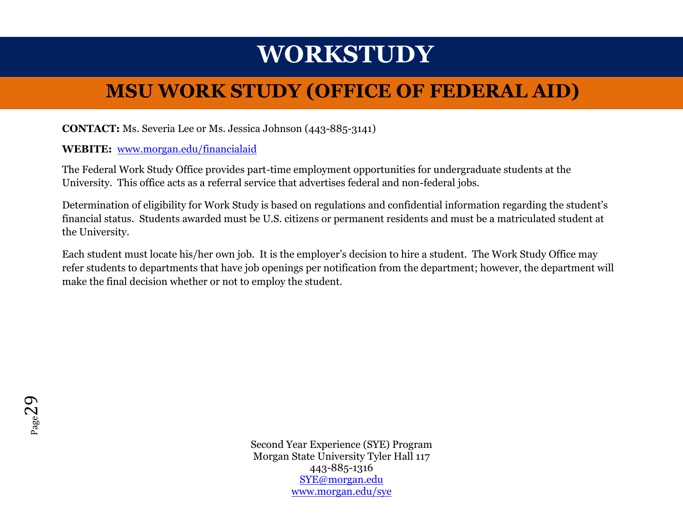## **WORKSTUDY**

### **MSU WORK STUDY (OFFICE OF FEDERAL AID)**

### **CONTACT:** Ms. Severia Lee or Ms. Jessica Johnson (443-885-3141)

#### **WEBITE:** [www.morgan.edu/financialaid](http://www.morgan.edu/financialaid)

The Federal Work Study Office provides part-time employment opportunities for undergraduate students at the University. This office acts as a referral service that advertises federal and non-federal jobs.

Determination of eligibility for Work Study is based on regulations and confidential information regarding the student's financial status. Students awarded must be U.S. citizens or permanent residents and must be a matriculated student at the University.

Each student must locate his/her own job. It is the employer's decision to hire a student. The Work Study Office may refer students to departments that have job openings per notification from the department; however, the department will make the final decision whether or not to employ the student.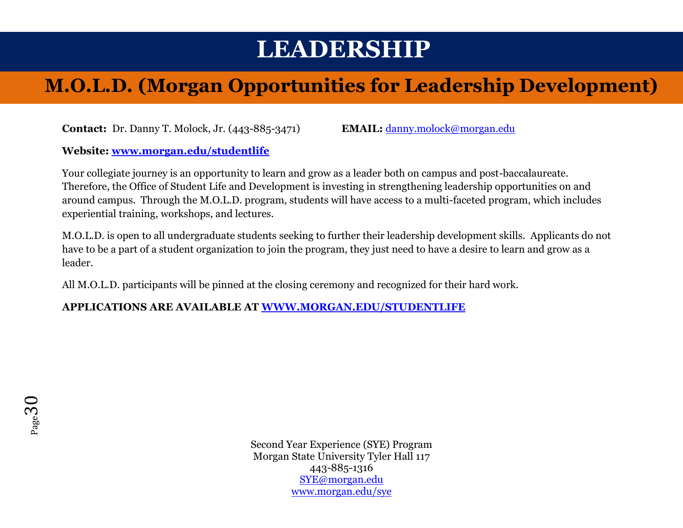## **LEADERSHIP**

### **M.O.L.D. (Morgan Opportunities for Leadership Development)**

**Contact:** Dr. Danny T. Molock, Jr. (443-885-3471) **EMAIL:** [danny.molock@morgan.edu](mailto:danny.molock@morgan.edu)

**Website: [www.morgan.edu/studentlife](http://www.morgan.edu/studentlife)**

Your collegiate journey is an opportunity to learn and grow as a leader both on campus and post-baccalaureate. Therefore, the Office of Student Life and Development is investing in strengthening leadership opportunities on and around campus. Through the M.O.L.D. program, students will have access to a multi-faceted program, which includes experiential training, workshops, and lectures.

M.O.L.D. is open to all undergraduate students seeking to further their leadership development skills. Applicants do not have to be a part of a student organization to join the program, they just need to have a desire to learn and grow as a leader.

All M.O.L.D. participants will be pinned at the closing ceremony and recognized for their hard work.

**APPLICATIONS ARE AVAILABLE AT [WWW.MORGAN.EDU/STUDENTLIFE](http://www.morgan.edu/STUDENTLIFE)**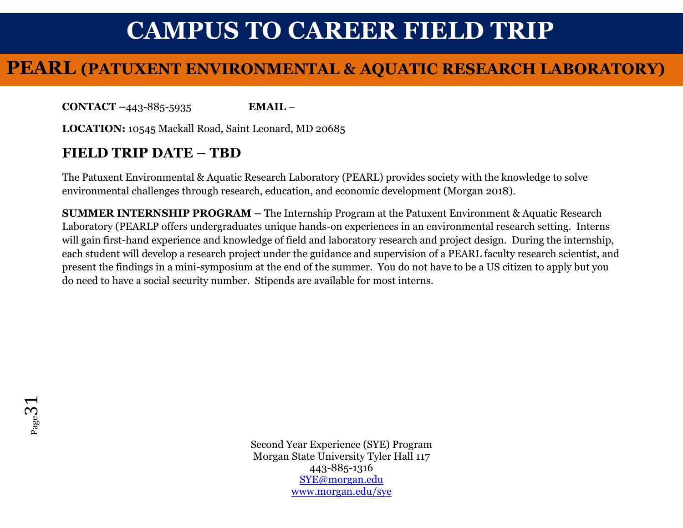## **CAMPUS TO CAREER FIELD TRIP**

### **PEARL (PATUXENT ENVIRONMENTAL & AQUATIC RESEARCH LABORATORY)**

**CONTACT –**443-885-5935 **EMAIL** –

**LOCATION:** 10545 Mackall Road, Saint Leonard, MD 20685

### **FIELD TRIP DATE – TBD**

The Patuxent Environmental & Aquatic Research Laboratory (PEARL) provides society with the knowledge to solve environmental challenges through research, education, and economic development (Morgan 2018).

**SUMMER INTERNSHIP PROGRAM –** The Internship Program at the Patuxent Environment & Aquatic Research Laboratory (PEARLP offers undergraduates unique hands-on experiences in an environmental research setting. Interns will gain first-hand experience and knowledge of field and laboratory research and project design. During the internship, each student will develop a research project under the guidance and supervision of a PEARL faculty research scientist, and present the findings in a mini-symposium at the end of the summer. You do not have to be a US citizen to apply but you do need to have a social security number. Stipends are available for most interns.